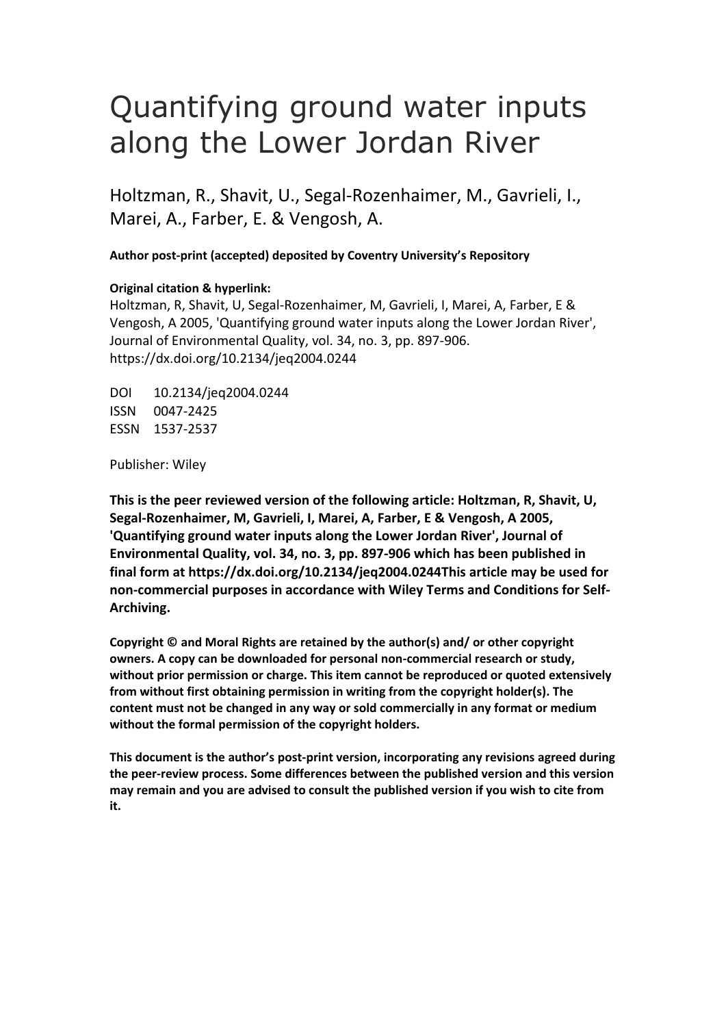# Quantifying ground water inputs along the Lower Jordan River

Holtzman, R., Shavit, U., Segal-Rozenhaimer, M., Gavrieli, I., Marei, A., Farber, E. & Vengosh, A.

**Author post-print (accepted) deposited by Coventry University's Repository**

## **Original citation & hyperlink:**

Holtzman, R, Shavit, U, Segal-Rozenhaimer, M, Gavrieli, I, Marei, A, Farber, E & Vengosh, A 2005, 'Quantifying ground water inputs along the Lower Jordan River', Journal of Environmental Quality, vol. 34, no. 3, pp. 897-906. https://dx.doi.org/10.2134/jeq2004.0244

DOI 10.2134/jeq2004.0244 ISSN 0047-2425 ESSN 1537-2537

Publisher: Wiley

**This is the peer reviewed version of the following article: Holtzman, R, Shavit, U, Segal-Rozenhaimer, M, Gavrieli, I, Marei, A, Farber, E & Vengosh, A 2005, 'Quantifying ground water inputs along the Lower Jordan River', Journal of Environmental Quality, vol. 34, no. 3, pp. 897-906 which has been published in final form at https://dx.doi.org/10.2134/jeq2004.0244This article may be used for non-commercial purposes in accordance with Wiley Terms and Conditions for Self-Archiving.** 

**Copyright © and Moral Rights are retained by the author(s) and/ or other copyright owners. A copy can be downloaded for personal non-commercial research or study, without prior permission or charge. This item cannot be reproduced or quoted extensively from without first obtaining permission in writing from the copyright holder(s). The content must not be changed in any way or sold commercially in any format or medium without the formal permission of the copyright holders.** 

**This document is the author's post-print version, incorporating any revisions agreed during the peer-review process. Some differences between the published version and this version may remain and you are advised to consult the published version if you wish to cite from it.**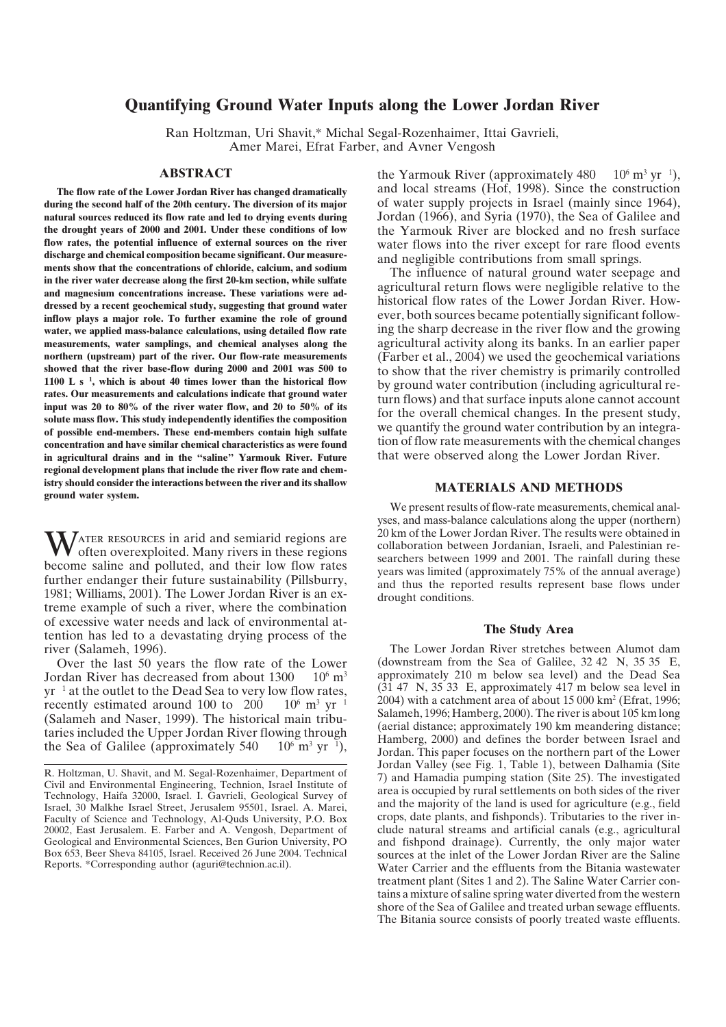## **Quantifying Ground Water Inputs along the Lower Jordan River**

Ran Holtzman, Uri Shavit,\* Michal Segal-Rozenhaimer, Ittai Gavrieli, Amer Marei, Efrat Farber, and Avner Vengosh

## **ABSTRACT**

 **1100 L s <sup>1</sup> , which is about 40 times lower than the historical flow The flow rate of the Lower Jordan River has changed dramatically during the second half of the 20th century. The diversion of its major natural sources reduced its flow rate and led to drying events during the drought years of 2000 and 2001. Under these conditions of low flow rates, the potential influence of external sources on the river discharge and chemical composition became significant. Our measurements show that the concentrations of chloride, calcium, and sodium in the river water decrease along the first 20-km section, while sulfate and magnesium concentrations increase. These variations were addressed by a recent geochemical study, suggesting that ground water inflow plays a major role. To further examine the role of ground water, we applied mass-balance calculations, using detailed flow rate measurements, water samplings, and chemical analyses along the northern (upstream) part of the river. Our flow-rate measurements showed that the river base-flow during 2000 and 2001 was 500 to rates. Our measurements and calculations indicate that ground water input was 20 to 80% of the river water flow, and 20 to 50% of its solute mass flow. This study independently identifies the composition of possible end-members. These end-members contain high sulfate concentration and have similar chemical characteristics as were found in agricultural drains and in the "saline" Yarmouk River. Future regional development plans that include the river flow rate and chemistry should consider the interactions between the river and its shallow ground water system.**

WATER RESOURCES in arid and semiarid regions are often overexploited. Many rivers in these regions become saline and polluted, and their low flow rates further endanger their future sustainability (Pillsburry, 1981; Williams, 2001). The Lower Jordan River is an extreme example of such a river, where the combination of excessive water needs and lack of environmental attention has led to a devastating drying process of the river (Salameh, 1996).

yr<sup>-1</sup> at the outlet to the Dead Sea to very low flow rates,  $(31.47 \text{ N}, 35.33)$  $10^6$  m<sup>3</sup> vr<sup>1</sup>  $10^6$  m<sup>3</sup> yr<sup>1</sup>), Over the last 50 years the flow rate of the Lower Jordan River has decreased from about  $1300 \times 10^6$  m<sup>3</sup> recently estimated around  $100$  to  $200$ (Salameh and Naser, 1999). The historical main tributaries included the Upper Jordan River flowing through the Sea of Galilee (approximately 540

 $10^6$  m<sup>3</sup> yr<sup>1</sup>), the Yarmouk River (approximately 480 and local streams (Hof, 1998). Since the construction of water supply projects in Israel (mainly since 1964), Jordan (1966), and Syria (1970), the Sea of Galilee and the Yarmouk River are blocked and no fresh surface water flows into the river except for rare flood events and negligible contributions from small springs.

The influence of natural ground water seepage and agricultural return flows were negligible relative to the historical flow rates of the Lower Jordan River. However, both sources became potentially significant following the sharp decrease in the river flow and the growing agricultural activity along its banks. In an earlier paper (Farber et al., 2004) we used the geochemical variations to show that the river chemistry is primarily controlled by ground water contribution (including agricultural return flows) and that surface inputs alone cannot account for the overall chemical changes. In the present study, we quantify the ground water contribution by an integration of flow rate measurements with the chemical changes that were observed along the Lower Jordan River.

## **MATERIALS AND METHODS**

We present results of flow-rate measurements, chemical analyses, and mass-balance calculations along the upper (northern) 20 km of the Lower Jordan River. The results were obtained in collaboration between Jordanian, Israeli, and Palestinian researchers between 1999 and 2001. The rainfall during these years was limited (approximately 75% of the annual average) and thus the reported results represent base flows under drought conditions.

### **The Study Area**

 (downstream from the Sea of Galilee, 32 42 N, 35 35 E, The Lower Jordan River stretches between Alumot dam approximately 210 m below sea level) and the Dead Sea  $(31 47 N, 35 33 E,$  approximately 417 m below sea level in 2004) with a catchment area of about  $15\,000\,\mathrm{km^2}$  (Efrat, 1996; Salameh, 1996; Hamberg, 2000). The riveris about 105 km long (aerial distance; approximately 190 km meandering distance; Hamberg, 2000) and defines the border between Israel and Jordan. This paper focuses on the northern part of the Lower Jordan Valley (see Fig. 1, Table 1), between Dalhamia (Site 7) and Hamadia pumping station (Site 25). The investigated area is occupied by rural settlements on both sides of the river and the majority of the land is used for agriculture (e.g., field crops, date plants, and fishponds). Tributaries to the river include natural streams and artificial canals (e.g., agricultural and fishpond drainage). Currently, the only major water sources at the inlet of the Lower Jordan River are the Saline Water Carrier and the effluents from the Bitania wastewater treatment plant (Sites 1 and 2). The Saline Water Carrier contains a mixture of saline spring water diverted from the western shore of the Sea of Galilee and treated urban sewage effluents. The Bitania source consists of poorly treated waste effluents.

R. Holtzman, U. Shavit, and M. Segal-Rozenhaimer, Department of Civil and Environmental Engineering, Technion, Israel Institute of Technology, Haifa 32000, Israel. I. Gavrieli, Geological Survey of Israel, 30 Malkhe Israel Street, Jerusalem 95501, Israel. A. Marei, Faculty of Science and Technology, Al-Quds University, P.O. Box 20002, East Jerusalem. E. Farber and A. Vengosh, Department of Geological and Environmental Sciences, Ben Gurion University, PO Box 653, Beer Sheva 84105, Israel. Received 26 June 2004. Technical Reports. \*Corresponding author (aguri@technion.ac.il).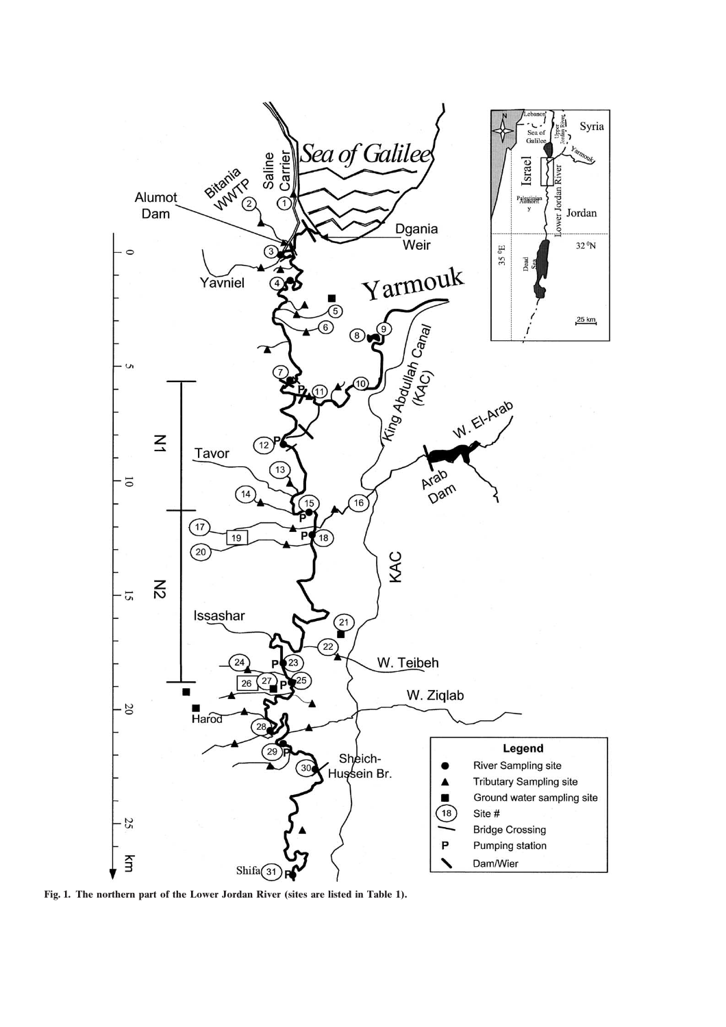

**Fig. 1. The northern part of the Lower Jordan River (sites are listed in Table 1).**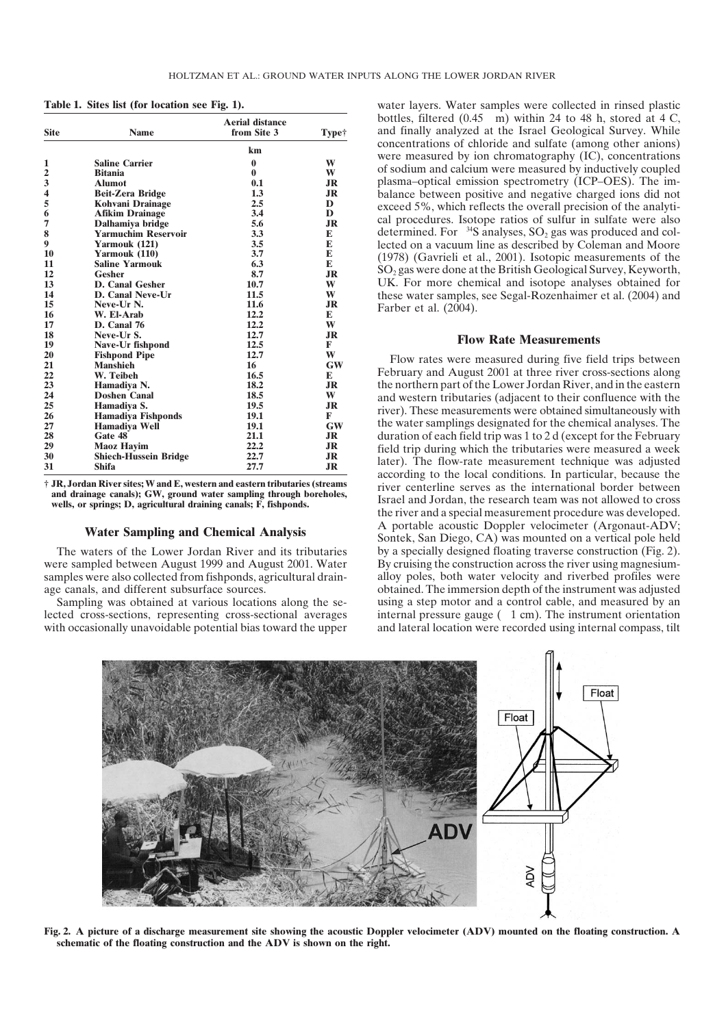| <b>Site</b>                                                                                                                   | <b>Name</b>                                                                                                                                                                                                                                                                                                                        | <b>Aerial distance</b><br>from Site 3                                                                    | <b>Type†</b>                                                                                                                               | bottles, filtered $(0.45 \text{ m})$ within 24 to 48 h, stored at 4 C,<br>and finally analyzed at the Israel Geological Survey. While                                                                                                                                                                                                                                                                                                                                                                                                                                                                                                                                                                                                                                                                                                                                      |
|-------------------------------------------------------------------------------------------------------------------------------|------------------------------------------------------------------------------------------------------------------------------------------------------------------------------------------------------------------------------------------------------------------------------------------------------------------------------------|----------------------------------------------------------------------------------------------------------|--------------------------------------------------------------------------------------------------------------------------------------------|----------------------------------------------------------------------------------------------------------------------------------------------------------------------------------------------------------------------------------------------------------------------------------------------------------------------------------------------------------------------------------------------------------------------------------------------------------------------------------------------------------------------------------------------------------------------------------------------------------------------------------------------------------------------------------------------------------------------------------------------------------------------------------------------------------------------------------------------------------------------------|
| 1<br>$\frac{2}{3}$<br>$\frac{4}{5}$<br>6<br>$\overline{7}$<br>8<br>$\boldsymbol{9}$<br>10<br>11<br>12<br>13<br>14<br>15<br>16 | <b>Saline Carrier</b><br><b>Bitania</b><br><b>Alumot</b><br><b>Beit-Zera Bridge</b><br>Kohvani Drainage<br><b>Afikim Drainage</b><br>Dalhamiya bridge<br><b>Yarmuchim Reservoir</b><br>Yarmouk (121)<br>Yarmouk (110)<br><b>Saline Yarmouk</b><br><b>Gesher</b><br>D. Canal Gesher<br>D. Canal Neve-Ur<br>Neve-Ur N.<br>W. El-Arab | km<br>0.1<br>1.3<br>2.5<br>3.4<br>5.6<br>3.3<br>3.5<br>3.7<br>6.3<br>8.7<br>10.7<br>11.5<br>11.6<br>12.2 | W<br>W<br><b>JR</b><br><b>JR</b><br>D<br>D<br>J <sub>R</sub><br>${\bf E}$<br>${\bf E}$<br>E<br>${\bf E}$<br><b>JR</b><br>W<br>W<br>JR<br>E | concentrations of chloride and sulfate (among other anions)<br>were measured by ion chromatography (IC), concentrations<br>of sodium and calcium were measured by inductively coupled<br>plasma-optical emission spectrometry (ICP-OES). The im-<br>balance between positive and negative charged ions did not<br>exceed 5%, which reflects the overall precision of the analyti-<br>cal procedures. Isotope ratios of sulfur in sulfate were also<br>determined. For $34S$ analyses, $SO_2$ gas was produced and col-<br>lected on a vacuum line as described by Coleman and Moore<br>(1978) (Gavrieli et al., 2001). Isotopic measurements of the<br>$SO2$ gas were done at the British Geological Survey, Keyworth,<br>UK. For more chemical and isotope analyses obtained for<br>these water samples, see Segal-Rozenhaimer et al. (2004) and<br>Farber et al. (2004). |
| 17<br>18<br>19                                                                                                                | D. Canal 76<br>Neve-Ur S.<br>Nave-Ur fishpond                                                                                                                                                                                                                                                                                      | 12.2<br>12.7<br>12.5                                                                                     | W<br><b>JR</b><br>F                                                                                                                        | <b>Flow Rate Measurements</b>                                                                                                                                                                                                                                                                                                                                                                                                                                                                                                                                                                                                                                                                                                                                                                                                                                              |
| 20<br>21<br>22<br>23<br>24<br>25<br>26<br>27<br>28<br>29<br>30<br>31                                                          | <b>Fishpond Pipe</b><br><b>Manshieh</b><br>W. Teibeh<br>Hamadiya N.<br><b>Doshen Canal</b><br>Hamadiya S.<br><b>Hamadiya Fishponds</b><br>Hamadiya Well<br>Gate 48<br><b>Maoz Hayim</b><br><b>Shiech-Hussein Bridge</b><br><b>Shifa</b>                                                                                            | 12.7<br>16<br>16.5<br>18.2<br>18.5<br>19.5<br>19.1<br>19.1<br>21.1<br>22.2<br>22.7<br>27.7               | W<br><b>GW</b><br>E<br>J <sub>R</sub><br>W<br>J <sub>R</sub><br>F<br><b>GW</b><br>JR<br>JR<br>JR<br>JR                                     | Flow rates were measured during five field trips between<br>February and August 2001 at three river cross-sections along<br>the northern part of the Lower Jordan River, and in the eastern<br>and western tributaries (adjacent to their confluence with the<br>river). These measurements were obtained simultaneously with<br>the water samplings designated for the chemical analyses. The<br>duration of each field trip was 1 to 2 d (except for the February<br>field trip during which the tributaries were measured a week<br>later). The flow-rate measurement technique was adjusted<br>according to the local conditions. In particular, because the                                                                                                                                                                                                           |

were sampled between August 1999 and August 2001. Water By cruising the construction across the river using magnesium-

lected cross-sections, representing cross-sectional averages with occasionally unavoidable potential bias toward the upper and lateral location were recorded using internal compass, tilt

Aerial distance bottles, filtered (0.45 m) within 24 to 48 h, stored at 4 C, **Table 1. Sites list (for location see Fig. 1).** water layers. Water samples were collected in rinsed plastic and finally analyzed at the Israel Geological Survey. While concentrations of chloride and sulfate (among other anions) were measured by ion chromatography (IC), concentrations  $\alpha$  **1 Sodium** and calcium were measured by inductively coupled plasma–optical emission spectrometry (ICP–OES). The im**balance between positive and negative charged ions did not** exceed 5%, which reflects the overall precision of the analytical procedures. Isotope ratios of sulfur in sulfate were also lected on a vacuum line as described by Coleman and Moore (1978) (Gavrieli et al., 2001). Isotopic measurements of the  $SO<sub>2</sub>$  gas were done at the British Geological Survey, Keyworth, **13 D. Canal Gesher 10.7 W** UK. For more chemical and isotope analyses obtained for **these water samples, see Segal-Rozenhaimer et al. (2004) and 15** *Rarber et al.* **(2004).** 

### **<sup>18</sup> Neve-Ur S. 12.7 JR Flow Rate Measurements <sup>19</sup> Nave-Ur fishpond 12.5 <sup>F</sup>**

internal pressure gauge  $(1 \text{ cm})$ . The instrument orientation **20** *Plow rates were measured during five field trips between* **February and August 2001 at three river cross-sections along 23 Hamadiya N. 18.2 JR** the northern part of the Lower Jordan River, and in the eastern **24 Doshen Canal 18.5 W** and western tributaries (adjacent to their confluence with the **25** *n* **C** *n n Hamardiya* **<b>E** *n Hamardiya <b>E <i>Hamardiya <b>E Hamardiya <b>Fishponds Fight Hamardiy Hamardiy Hamardiy Hamardiy Hamardiy Hamardiy Hamardiy Hamardiy* **27 19.1 EXECUTE: CHE EXECUTE: CHE CHE CHE CHE CHE CHE CHE CHE CHE CHE CHE CHE CHE CHE CHE CHE CHE CHE CHE CHE CHE CHE CHE CHE CHE CHE CHE CHE CHE CHE C** duration of each field trip was 1 to 2 d (except for the February field trip during which the tributaries were measured a week **1ater).** The flow-rate measurement technique was adjusted according to the local conditions. In particular, because the river centerline serves as the international border between *F* JR, Jordan River sites; W and E, western and eastern tributaries (streams<br>and drainage canals); GW, ground water sampling through boreholes,<br>wells, or springs; D, agricultural draining canals; F, fishponds.<br>the river a <sup>A</sup> portable acoustic Doppler velocimeter (Argonaut-ADV; **Water Sampling and Chemical Analysis** Sontek, San Diego, CA) was mounted on <sup>a</sup> vertical pole held The waters of the Lower Jordan River and its tributaries by a specially designed floating traverse construction (Fig. 2). samples were also collected from fishponds, agricultural drain-<br>alloy poles, both water velocity and riverbed profiles were<br>age canals, and different subsurface sources.<br>botained. The immersion depth of the instrument was obtained. The immersion depth of the instrument was adjusted Sampling was obtained at various locations along the se- using a step motor and a control cable, and measured by an



Fig. 2. A picture of a discharge measurement site showing the acoustic Doppler velocimeter (ADV) mounted on the floating construction. A **schematic of the floating construction and the ADV is shown on the right.**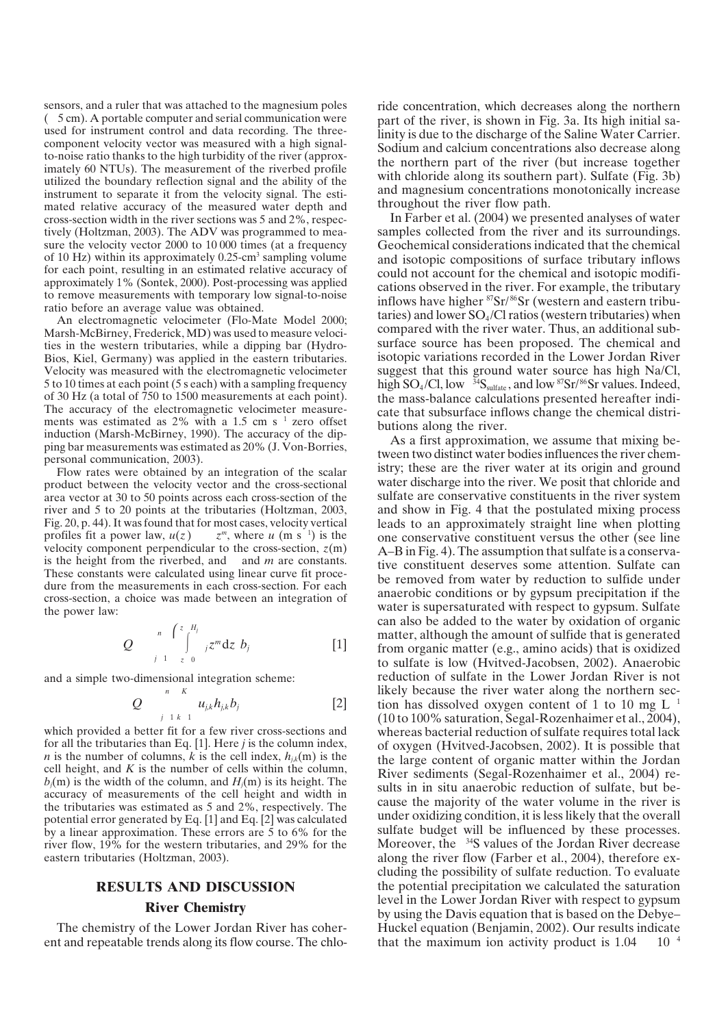( 5 cm). A portable computer and serial communication were sensors, and a ruler that was attached to the magnesium poles used for instrument control and data recording. The threecomponent velocity vector was measured with a high signalto-noise ratio thanks to the high turbidity of the river (approximately 60 NTUs). The measurement of the riverbed profile utilized the boundary reflection signal and the ability of the instrument to separate it from the velocity signal. The estimated relative accuracy of the measured water depth and cross-section width in the river sections was 5 and 2%, respectively (Holtzman, 2003). The ADV was programmed to measure the velocity vector 2000 to 10 000 times (at a frequency of 10 Hz) within its approximately 0.25-cm<sup>3</sup> sampling volume for each point, resulting in an estimated relative accuracy of approximately 1% (Sontek, 2000). Post-processing was applied to remove measurements with temporary low signal-to-noise ratio before an average value was obtained.

ments was estimated as  $2\%$  with a 1.5 cm s<sup>1</sup> zero offset An electromagnetic velocimeter (Flo-Mate Model 2000; Marsh-McBirney, Frederick, MD) was used to measure velocities in the western tributaries, while a dipping bar (Hydro-Bios, Kiel, Germany) was applied in the eastern tributaries. Velocity was measured with the electromagnetic velocimeter 5 to 10 times at each point(5 s each) with a sampling frequency of 30 Hz (a total of 750 to 1500 measurements at each point). The accuracy of the electromagnetic velocimeter measureinduction (Marsh-McBirney, 1990). The accuracy of the dipping bar measurements was estimated as 20% (J. Von-Borries, personal communication, 2003).

 $z^m$ , where u (m s<sup>-1</sup>) is the is the height from the riverbed, and and *m* are constants. Flow rates were obtained by an integration of the scalar product between the velocity vector and the cross-sectional area vector at 30 to 50 points across each cross-section of the river and 5 to 20 points at the tributaries (Holtzman, 2003, Fig. 20, p. 44). It was found that for most cases, velocity vertical profiles fit a power law,  $u(z)$ velocity component perpendicular to the cross-section,  $z(m)$ These constants were calculated using linear curve fit procedure from the measurements in each cross-section. For each cross-section, a choice was made between an integration of the power law:

$$
Q \qquad \int\limits_{j=1}^{n} \int\limits_{z=0}^{z=H_j} jz^{m}dz \; b_j \qquad \qquad [1]
$$

and a simple two-dimensional integration scheme:

$$
Q \qquad \sum_{j=1 \ k=1}^{n-K} u_{j,k} h_{j,k} b_j \qquad \qquad [2]
$$

which provided a better fit for a few river cross-sections and for all the tributaries than Eq. [1]. Here *j* is the column index, *n* is the number of columns, *k* is the cell index,  $h_i(k)$  is the cell height, and *K* is the number of cells within the column,  $b_j(m)$  is the width of the column, and  $H_j(m)$  is its height. The accuracy of measurements of the cell height and width in the tributaries was estimated as 5 and 2%, respectively. The potential error generated by Eq. [1] and Eq. [2] was calculated by a linear approximation. These errors are 5 to 6% for the river flow, 19% for the western tributaries, and 29% for the eastern tributaries (Holtzman, 2003).

## **RESULTS AND DISCUSSION River Chemistry**

The chemistry of the Lower Jordan River has coherent and repeatable trends along its flow course. The chloride concentration, which decreases along the northern part of the river, is shown in Fig. 3a. Its high initial salinity is due to the discharge of the Saline Water Carrier. Sodium and calcium concentrations also decrease along the northern part of the river (but increase together with chloride along its southern part). Sulfate (Fig. 3b) and magnesium concentrations monotonically increase throughout the river flow path.

J. In Farber et al. (2004) we presented analyses of water samples collected from the river and its surroundings. Geochemical considerations indicated that the chemical and isotopic compositions of surface tributary inflows could not account for the chemical and isotopic modifications observed in the river. For example, the tributary inflows have higher <sup>87</sup>Sr/<sup>86</sup>Sr (western and eastern tributaries) and lower  $SO_4/Cl$  ratios (western tributaries) when compared with the river water. Thus, an additional subsurface source has been proposed. The chemical and isotopic variations recorded in the Lower Jordan River suggest that this ground water source has high Na/Cl, high SO<sub>4</sub>/Cl, low <sup>34</sup>S<sub>sulfate</sub>, and low <sup>87</sup>Sr/<sup>86</sup>Sr values. Indeed, the mass-balance calculations presented hereafter indicate that subsurface inflows change the chemical distributions along the river.

 $u_{jk}h_{jk}b_j$  [2] tion has dissolved oxygen content of 1 to 10 mg L<sup>-1</sup> Moreover, the <sup>34</sup>S values of the Jordan River decrease  $10^{-4}$ As a first approximation, we assume that mixing between two distinct water bodies influences the river chemistry; these are the river water at its origin and ground water discharge into the river. We posit that chloride and sulfate are conservative constituents in the river system and show in Fig. 4 that the postulated mixing process leads to an approximately straight line when plotting one conservative constituent versus the other (see line A–B in Fig. 4). The assumption that sulfate is a conservative constituent deserves some attention. Sulfate can be removed from water by reduction to sulfide under anaerobic conditions or by gypsum precipitation if the water is supersaturated with respect to gypsum. Sulfate can also be added to the water by oxidation of organic matter, although the amount of sulfide that is generated from organic matter (e.g., amino acids) that is oxidized to sulfate is low (Hvitved-Jacobsen, 2002). Anaerobic reduction of sulfate in the Lower Jordan River is not likely because the river water along the northern sec-(10 to 100% saturation, Segal-Rozenhaimer et al., 2004), whereas bacterial reduction of sulfate requires total lack of oxygen (Hvitved-Jacobsen, 2002). It is possible that the large content of organic matter within the Jordan River sediments (Segal-Rozenhaimer et al., 2004) results in in situ anaerobic reduction of sulfate, but because the majority of the water volume in the river is under oxidizing condition, it is less likely that the overall sulfate budget will be influenced by these processes. along the river flow (Farber et al., 2004), therefore excluding the possibility of sulfate reduction. To evaluate the potential precipitation we calculated the saturation level in the Lower Jordan River with respect to gypsum by using the Davis equation that is based on the Debye– Huckel equation (Benjamin, 2002). Our results indicate that the maximum ion activity product is  $1.04$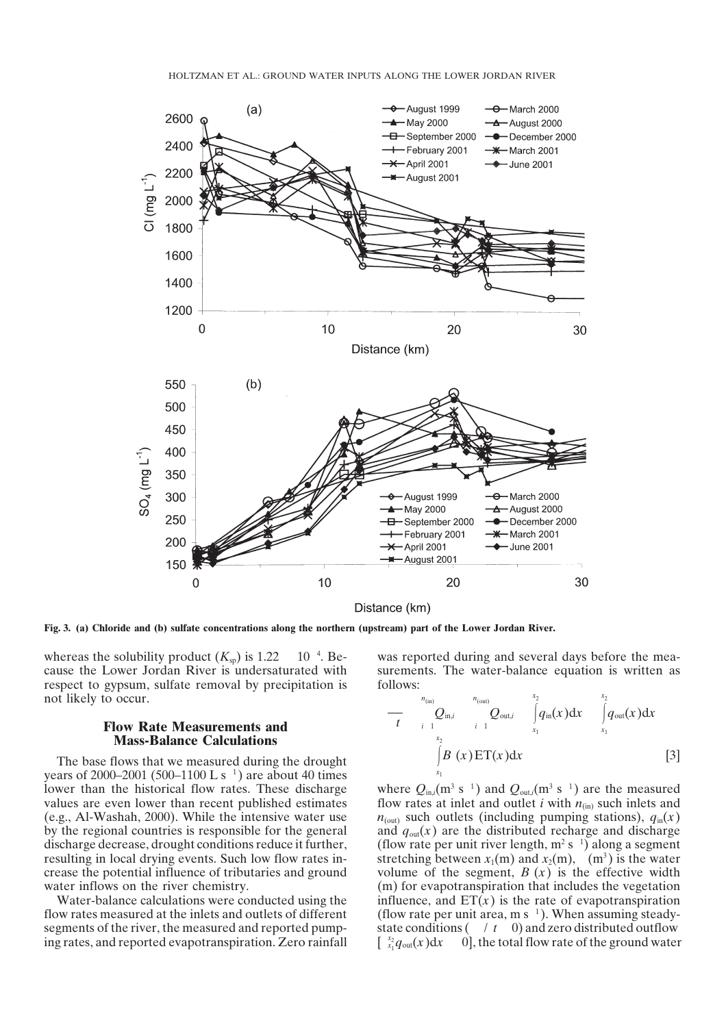

Fig. 3. (a) Chloride and (b) sulfate concentrations along the northern (upstream) part of the Lower Jordan River.

 $10^{-4}$ . Bewhereas the solubility product  $(K_{\text{sp}})$  is 1.22 cause the Lower Jordan River is undersaturated with respect to gypsum, sulfate removal by precipitation is not likely to occur.

## **Flow Rate Measurements and Mass-Balance Calculations**

years of 2000–2001 (500–1100 L s<sup>1</sup>) are about 40 times The base flows that we measured during the drought lower than the historical flow rates. These discharge values are even lower than recent published estimates (e.g., Al-Washah, 2000). While the intensive water use by the regional countries is responsible for the general discharge decrease, drought conditions reduce it further, resulting in local drying events. Such low flow rates increase the potential influence of tributaries and ground water inflows on the river chemistry.

Water-balance calculations were conducted using the flow rates measured at the inlets and outlets of different segments of the river, the measured and reported pumping rates, and reported evapotranspiration. Zero rainfall was reported during and several days before the measurements. The water-balance equation is written as follows:

$$
-\frac{n_{\text{(in)}}}{t}Q_{\text{in},i} \int_{\begin{array}{l} x_1\\ x_2\\ x_1 \end{array}}^{n_{\text{(out)}} Q_{\text{out},i} \int_{x_1}^{x_2} q_{\text{in}}(x)dx \int_{x_1}^{x_2} q_{\text{out}}(x)dx
$$
\n[3]

where  $Q_{\text{in},i}(\text{m}^3 \text{ s}^{-1})$  and  $Q_{\text{out},i}(\text{m}^3 \text{ s}^{-1})$  are the measured (flow rate per unit river length,  $m^2 s^{-1}$ ) along a segment stretching between  $x_1(m)$  and  $x_2(m)$ ,  $(m^3)$  is the water volume of the segment,  $B(x)$  is the effective width (flow rate per unit area, m s<sup> $1$ </sup>). When assuming steadystate conditions  $( / t \ 0)$  and zero distributed outflow  $\int_{x_1}^{x_2} q_{\text{out}}(x) dx$ flow rates at inlet and outlet *i* with  $n_{(in)}$  such inlets and  $n_{\text{(out)}}$  such outlets (including pumping stations),  $q_{\text{in}}(x)$ and  $q_{out}(x)$  are the distributed recharge and discharge (m) for evapotranspiration that includes the vegetation influence, and  $ET(x)$  is the rate of evapotranspiration  $\dot{\theta}$ , the total flow rate of the ground water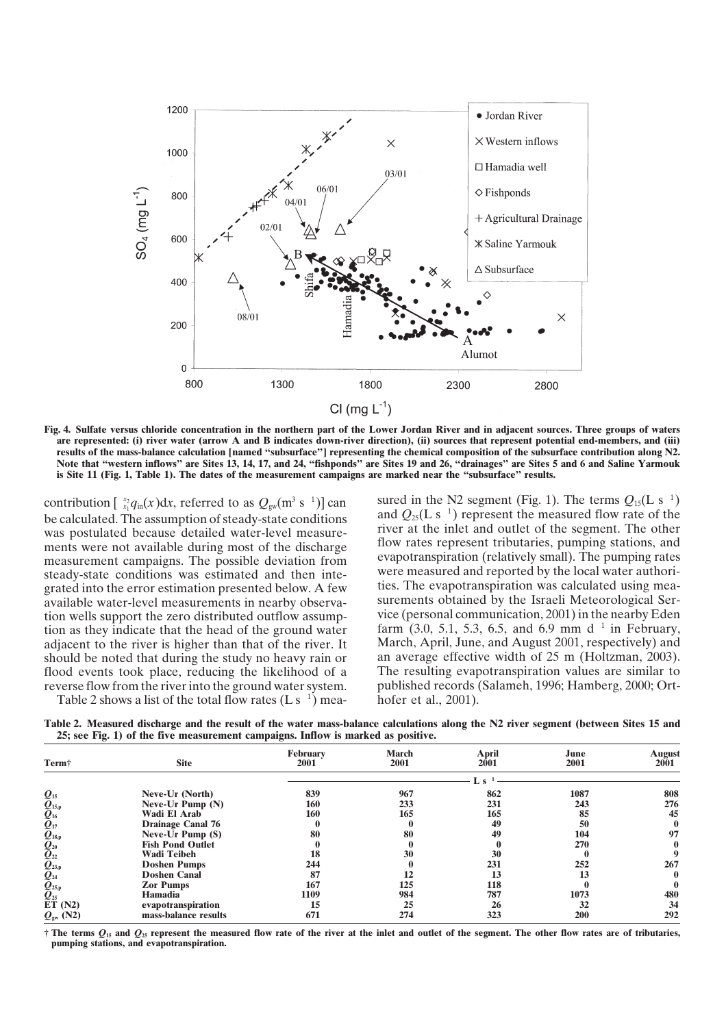

Fig. 4. Sulfate versus chloride concentration in the northern part of the Lower Jordan River and in adjacent sources. Three groups of waters are represented: (i) river water (arrow A and B indicates down-river direction), (ii) sources that represent potential end-members, and (iii) results of the mass-balance calculation [named "subsurface"] representing the chemical composition of the subsurface contribution along N2. Note that "western inflows" are Sites 13, 14, 17, and 24, "fishponds" are Sites 19 and 26, "drainages" are Sites 5 and 6 and Saline Yarmouk is Site 11 (Fig. 1, Table 1). The dates of the measurement campaigns are marked near the "subsurface" results.

be calculated. The assumption of steady-state conditions and  $Q_{25}(L s^{-1})$  represent the measured flow rate of the tion as they indicate that the head of the ground water farm  $(3.0, 5.1, 5.3, 6.5,$  and 6.9 mm d<sup>1</sup> in February, contribution  $\left[\begin{array}{c} x_2 \\ x_1 \end{array} q_{in}(x)dx$ , referred to as  $Q_{\text{gw}}(m^3 \text{ s }^{-1})$ . The terms *Q*<sub>15</sub> (m<sup>3</sup>). be calculated. The assumption of steady-state conditions and  $Q_{25}(L s^{-1})$  represent the measured flow rate of the segment. The other postulated because detailed water-level measurements were not available during most of the discharge flow rates represent tributaries, pumping stations, and not available during most of the discharge exportantion (relatively small). The pumping rates measurement campaigns. The possible deviation from evapotranspiration (relatively small). The pumping rates canditions was estimated and then integral were measured and reported by the local water authoristeady-state conditions was estimated and then inte-<br>grated and reported by the local water authori-<br>grated into the error estimation presented below. A few ties. The evapotranspiration was calculated using meagrated into the error estimation presented below. A few available water-level measurements in nearby observa- surements obtained by the Israeli Meteorological Sertion wells support the zero distributed outflow assump-<br>vice (personal communication, 2001) in the nearby Eden adjacent to the river is higher than that of the river. It March, April, June, and August 2001, respectively) and should be noted that during the study no heavy rain or an average effective width of 25 m (Holtzman, 2003). flood events took place, reducing the likelihood of a The resulting evapotranspiration values are similar to reverse flow from the river into the ground water system. published records (Salameh, 1996; Hamberg, 2000; Ortreverse flow from the river into the ground water system.

Table 2 shows a list of the total flow rates  $(L s^{-1})$  mea- hofer et al., 2001).

sured in the N2 segment (Fig. 1). The terms  $Q_{15}(L s^{-1})$ 

Table 2. Measured discharge and the result of the water mass-balance calculations along the N2 river segment (between Sites 15 and **25; see Fig. 1) of the five measurement campaigns. Inflow is marked as positive.**

| Termi                                                                                                            | <b>Site</b>              | <b>February</b><br>2001 | <b>March</b><br>2001 | <b>April</b><br>2001 | June<br>2001 | <b>August</b><br>2001 |
|------------------------------------------------------------------------------------------------------------------|--------------------------|-------------------------|----------------------|----------------------|--------------|-----------------------|
|                                                                                                                  |                          |                         |                      |                      |              |                       |
|                                                                                                                  | Neve-Ur (North)          | 839                     | 967                  | 862                  | 1087         | 808                   |
| $Q_{15,p}$<br>$Q_{16}$<br>$Q_{17}$<br>$Q_{18,p}$<br>$Q_{20}$<br>$Q_{21}$<br>$Q_{21}$<br>$Q_{22,p}$<br>$Q_{25,p}$ | Neve-Ur Pump (N)         | 160                     | 233                  | 231                  | 243          | 276                   |
|                                                                                                                  | Wadi El Arab             | <b>160</b>              | 165                  | 165                  | 85           | 45                    |
|                                                                                                                  | <b>Drainage Canal 76</b> |                         |                      | 49                   | 50           |                       |
|                                                                                                                  | Neve-Ur Pump (S)         | 80                      | 80                   | 49                   | 104          | 97                    |
|                                                                                                                  | <b>Fish Pond Outlet</b>  |                         |                      |                      | 270          |                       |
|                                                                                                                  | <b>Wadi Teibeh</b>       | 18                      | 30                   | 30                   |              |                       |
|                                                                                                                  | <b>Doshen Pumps</b>      | 244                     |                      | 231                  | 252          | 267                   |
|                                                                                                                  | <b>Doshen Canal</b>      | 87                      |                      | 13                   |              |                       |
|                                                                                                                  | <b>Zor Pumps</b>         | 167                     | 125                  | 118                  |              |                       |
|                                                                                                                  | Hamadia                  | 1109                    | 984                  | 787                  | 1073         | 480                   |
| ET(N2)                                                                                                           | evapotranspiration       | 15                      | 25                   | 26                   | 32           | 34                    |
| $Q_{\rm gw}$ (N2)                                                                                                | mass-balance results     | 671                     | 274                  | 323                  | 200          | 292                   |

 $\dagger$  The terms  $Q_{15}$  and  $Q_{25}$  represent the measured flow rate of the river at the inlet and outlet of the segment. The other flow rates are of tributaries, **pumping stations, and evapotranspiration.**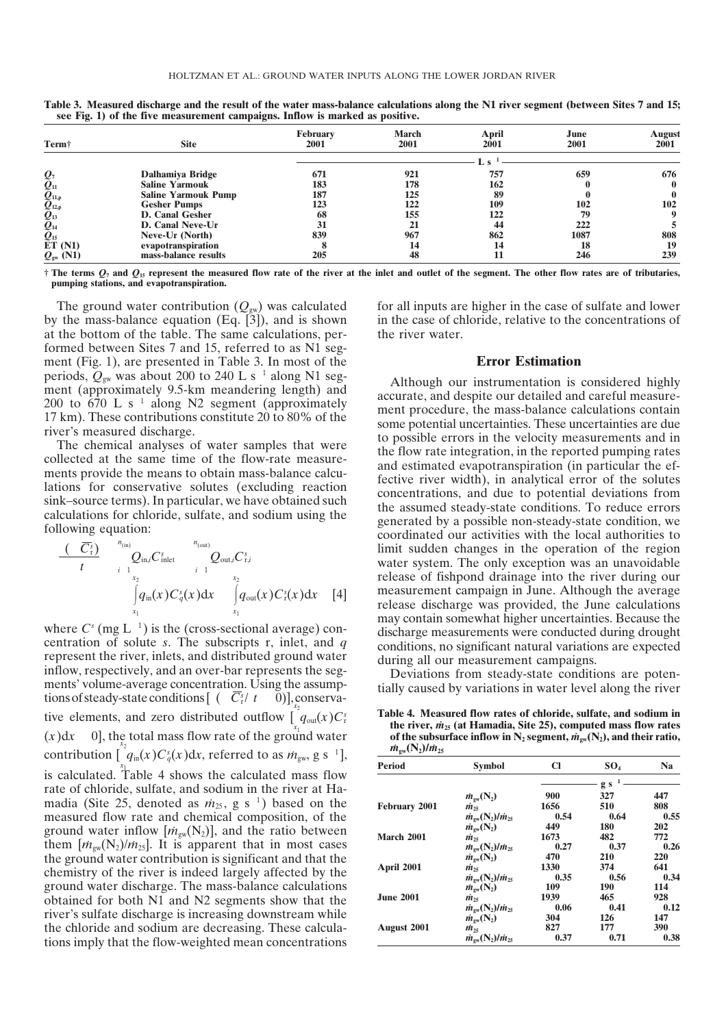|                                                                                                                                   |                            | February | <b>March</b> | April | June | August      |  |
|-----------------------------------------------------------------------------------------------------------------------------------|----------------------------|----------|--------------|-------|------|-------------|--|
| Term <sup>†</sup>                                                                                                                 | <b>Site</b>                | 2001     | 2001         | 2001  | 2001 | 2001        |  |
|                                                                                                                                   |                            |          |              |       |      |             |  |
| $\mathcal{Q}_7$                                                                                                                   | Dalhamiya Bridge           | 671      | 921          | 757   | 659  | 676         |  |
|                                                                                                                                   | <b>Saline Yarmouk</b>      | 183      | 178          | 162   |      | $\mathbf 0$ |  |
|                                                                                                                                   | <b>Saline Yarmouk Pump</b> | 187      | 125          | 89    |      | 0           |  |
|                                                                                                                                   | <b>Gesher Pumps</b>        | 123      | 122          | 109   | 102  | 102         |  |
|                                                                                                                                   | <b>D. Canal Gesher</b>     | 68       | 155          | 122   | 79   | 9           |  |
|                                                                                                                                   | D. Canal Neve-Ur           | 31       | 21           | 44    | 222  |             |  |
| $\begin{array}{c} Q_{11} \ \bar Q_{11,\mathsf{p}} \ \bar Q_{12,\mathsf{p}} \ \bar Q_{13} \ \bar Q_{14} \ \bar Q_{15} \end{array}$ | Neve-Ur (North)            | 839      | 967          | 862   | 1087 | 808         |  |
| ET(M1)                                                                                                                            | evapotranspiration         |          | 14           | 14    | 18   | 19          |  |
| $Q_{\rm gw}$ (N1)                                                                                                                 | mass-balance results       | 205      | 48           |       | 246  | 239         |  |

Table 3. Measured discharge and the result of the water mass-balance calculations along the N1 river segment (between Sites 7 and 15; **see Fig. 1) of the five measurement campaigns. Inflow is marked as positive.**

 $\dagger$  The terms  $Q_7$  and  $Q_{15}$  represent the measured flow rate of the river at the inlet and outlet of the segment. The other flow rates are of tributaries, **pumping stations, and evapotranspiration.**

periods,  $Q_{\text{gw}}$  was about 200 to 240 L s<sup>1</sup> along N1 seg-200 to  $\overline{670}$  L s<sup>1</sup> along N2 segment (approximately The ground water contribution  $(Q_{gw})$  was calculated by the mass-balance equation (Eq. [3]), and is shown at the bottom of the table. The same calculations, performed between Sites 7 and 15, referred to as N1 segment (Fig. 1), are presented in Table 3. In most of the ment (approximately 9.5-km meandering length) and 17 km). These contributions constitute 20 to 80% of the river's measured discharge.

The chemical analyses of water samples that were collected at the same time of the flow-rate measurements provide the means to obtain mass-balance calculations for conservative solutes (excluding reaction sink–source terms). In particular, we have obtained such calculations for chloride, sulfate, and sodium using the following equation:

$$
\begin{array}{ccccc}\n(\begin{array}{c}\n\overline{C_5}\\
t\end{array}& & \begin{array}{c} n_{\text{(in)}}\\
\overline{C_1}\text{in}\end{array}\end{array}\begin{array}{c} & n_{\text{(out)}}\\
\overline{C_2}\text{inat} & & \begin{array}{c} 0\\
\overline{C_1}\text{outat}\end{array}\end{array}\begin{array}{c} \overline{C_1}\text{outat}\end{array}\end{array}\begin{array}{c} \overline{C_2}\text{outat}\end{array}\begin{array}{c} \overline{C_3}\text{outat}\end{array}\begin{array}{c} \overline{C_3}\text{outat}\end{array}\end{array}\begin{array}{c} \overline{C_4}\text{outat}\end{array}\begin{array}{c} \overline{C_4}\text{outat}\end{array}\begin{array}{c} \overline{C_4}\text{outat}\end{array}\end{array}\begin{array}{c} \overline{C_4}\text{outat}\end{array}
$$

where  $C^{s}$  (mg L<sup>-1</sup>) is the (cross-sectional average) contions of steady-state conditions  $[ (C_{r}^{s}/t - 0) ]_{x_{2}^{x_{2}}}$ tive elements, and zero distributed outflow  $[q_{out}(x)C_{r}^{s}]$  $q_{\text{in}}(x)C_q(x)dx$ , referred to as  $m_{\text{gw}}$ , g s madia (Site 25, denoted as  $m_{25}$ , g s<sup>1</sup>) based on the centration of solute *s*. The subscripts r, inlet, and *q* represent the river, inlets, and distributed ground water inflow, respectively, and an over-bar represents the segments' volume-average concentration. Using the assump- $V_{x_1}$   $\left(\frac{V_{\text{out}}(X)}{V_{\text{in}}}\right)$  $(x)dx$  0], the total mass flow rate of the ground water contribution  $[q_{\text{in}}(x)C_q^s(x)dx$ , referred to as  $m_{\text{gw}}$ , g s <sup>1</sup>], is calculated. Table 4 shows the calculated mass flow rate of chloride, sulfate, and sodium in the river at Hameasured flow rate and chemical composition, of the ground water inflow  $[m_{\text{gw}}(N_2)]$ , and the ratio between them  $\left[\dot{m}_{\text{sw}}(N_2)/\dot{m}_{25}\right]$ . It is apparent that in most cases the ground water contribution is significant and that the chemistry of the river is indeed largely affected by the ground water discharge. The mass-balance calculations obtained for both N1 and N2 segments show that the river's sulfate discharge is increasing downstream while the chloride and sodium are decreasing. These calculations imply that the flow-weighted mean concentrations for all inputs are higher in the case of sulfate and lower in the case of chloride, relative to the concentrations of the river water.

## **Error Estimation**

Although our instrumentation is considered highly accurate, and despite our detailed and careful measurement procedure, the mass-balance calculations contain some potential uncertainties. These uncertainties are due to possible errors in the velocity measurements and in the flow rate integration, in the reported pumping rates and estimated evapotranspiration (in particular the effective river width), in analytical error of the solutes concentrations, and due to potential deviations from the assumed steady-state conditions. To reduce errors generated by a possible non-steady-state condition, we coordinated our activities with the local authorities to limit sudden changes in the operation of the region water system. The only exception was an unavoidable release of fishpond drainage into the river during our measurement campaign in June. Although the average release discharge was provided, the June calculations may contain somewhat higher uncertainties. Because the discharge measurements were conducted during drought conditions, no significant natural variations are expected during all our measurement campaigns.

Deviations from steady-state conditions are potentially caused by variations in water level along the river

**Table 4. Measured flow rates of chloride, sulfate, and sodium in the river,**  $\dot{m}_{25}$  (at **Hamadia, Site 25), computed mass flow rates** of the subsurface inflow in  $N_2$  segment,  $\dot{m}_{\text{ew}}(N_2)$ , and their ratio,  $\sqrt{N}$   $\sqrt{L^2}$ 

| $m_{\rm gw}(12)$ // $m_{25}$ |                                                      |           |                     |      |
|------------------------------|------------------------------------------------------|-----------|---------------------|------|
| Period                       | <b>Symbol</b>                                        | <b>CI</b> | SO <sub>4</sub>     | Na   |
|                              |                                                      |           | $\mathbf{1}$<br>g s |      |
|                              | $\dot{m}_{\rm ew}(\rm N_2)$                          | 900       | 327                 | 447  |
| <b>February 2001</b>         | $\dot{m}_{25}$                                       | 1656      | 510                 | 808  |
|                              | $\dot{m}_{\rm ew}$ (N <sub>2</sub> )/ $\dot{m}_{25}$ | 0.54      | 0.64                | 0.55 |
|                              | $\dot{m}_{\rm sw}(\rm N_2)$                          | 449       | <b>180</b>          | 202  |
| <b>March 2001</b>            | $\dot{m}_{25}$                                       | 1673      | 482                 | 772  |
|                              | $\dot{m}_{\rm sw}(\rm N_2)/\dot{m}_{25}$             | 0.27      | 0.37                | 0.26 |
|                              | $\dot{m}_{\rm ew}(\rm N_2)$                          | 470       | 210                 | 220  |
| April 2001                   | $\dot{m}_{25}$                                       | 1330      | 374                 | 641  |
|                              | $\dot{m}_{\rm ew}$ (N <sub>2</sub> )/ $\dot{m}_{25}$ | 0.35      | 0.56                | 0.34 |
|                              | $\dot{m}_{\rm ew}(\rm N_2)$                          | 109       | <b>190</b>          | 114  |
| <b>June 2001</b>             | $\dot{m}_{25}$                                       | 1939      | 465                 | 928  |
|                              | $\dot{m}_{\rm ew}$ (N <sub>2</sub> )/ $\dot{m}_{25}$ | 0.06      | 0.41                | 0.12 |
|                              | $\dot{m}_{\rm sw}(\rm N_2)$                          | 304       | 126                 | 147  |
| August 2001                  | $\dot{m}_{25}$                                       | 827       | 177                 | 390  |
|                              | $\dot{m}_{\text{sw}}(N_2)/\dot{m}_{25}$              | 0.37      | 0.71                | 0.38 |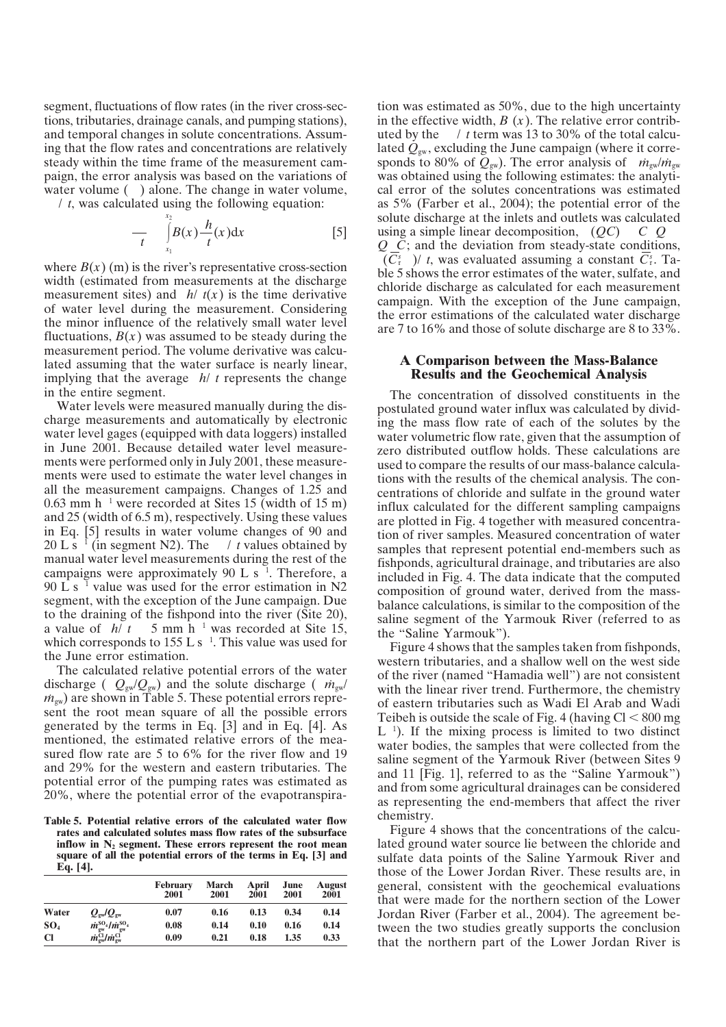water volume () alone. The change in water volume, segment, fluctuations of flow rates (in the river cross-sections, tributaries, drainage canals, and pumping stations), and temporal changes in solute concentrations. Assuming that the flow rates and concentrations are relatively steady within the time frame of the measurement campaign, the error analysis was based on the variations of

 / *t*, was calculated using the following equation:  $\mathcal{X}^2$ 

$$
\frac{1}{t} \int_{x_1}^{t} B(x) \frac{h}{t}(x) dx
$$
 [5] using

measurement sites) and  $h / t(x)$  is the time derivative implying that the average *h*/ *t* represents the change where  $B(x)$  (m) is the river's representative cross-section width (estimated from measurements at the discharge of water level during the measurement. Considering the minor influence of the relatively small water level fluctuations,  $B(x)$  was assumed to be steady during the measurement period. The volume derivative was calculated assuming that the water surface is nearly linear, in the entire segment.

0.63 mm h<sup>1</sup> were recorded at Sites 15 (width of 15 m) 20 L s<sup>1</sup> (in segment N2). The  $\ell$  t values obtained by campaigns were approximately 90 L s<sup> $1$ </sup>. Therefore, a 90 L s<sup>1</sup> value was used for the error estimation in N2 a value of  $h/t = 5$  mm h<sup>-1</sup> was recorded at Site 15,<br>which corresponds to 155 L s<sup>-1</sup>. This value was used for Water levels were measured manually during the discharge measurements and automatically by electronic water level gages (equipped with data loggers) installed in June 2001. Because detailed water level measurements were performed only in July 2001, these measurements were used to estimate the water level changes in all the measurement campaigns. Changes of 1.25 and and 25 (width of 6.5 m), respectively. Using these values in Eq. [5] results in water volume changes of 90 and manual water level measurements during the rest of the segment, with the exception of the June campaign. Due to the draining of the fishpond into the river (Site 20), which corresponds to 155 L s<sup>1</sup>. This value was used for the June error estimation.

discharge (  $Q_{\rm gw}/Q_{\rm gw}$ ) and the solute discharge (  $\dot{m}_{\rm gw}$ ) The calculated relative potential errors of the water  $\dot{m}_{\text{gw}}$ ) are shown in Table 5. These potential errors represent the root mean square of all the possible errors generated by the terms in Eq. [3] and in Eq. [4]. As mentioned, the estimated relative errors of the measured flow rate are 5 to 6% for the river flow and 19 and 29% for the western and eastern tributaries. The potential error of the pumping rates was estimated as 20%, where the potential error of the evapotranspira-

**Table 5. Potential relative errors of the calculated water flow rates and calculated solutes mass flow rates of the subsurface inflow in N2 segment. These errors represent the root mean square of all the potential errors of the terms in Eq. [3] and Eq. [4].**

|                 | .                                                         | <b>February</b><br>2001 | March<br>2001 | April<br>2001 | June<br>2001 | August<br>2001 |
|-----------------|-----------------------------------------------------------|-------------------------|---------------|---------------|--------------|----------------|
| Water           | $Q_{\rm ew}/Q_{\rm ew}$                                   | 0.07                    | 0.16          | 0.13          | 0.34         | 0.14           |
| SO <sub>4</sub> | $\dot{m}_{\rm gw}^{\rm SO_4}/\dot{m}_{\rm gw}^{\rm SO_4}$ | 0.08                    | 0.14          | 0.10          | 0.16         | 0.14           |
| <b>Cl</b>       | $\dot{m}_{\rm sw}^{\rm CI}$ / $\dot{m}_{\rm sw}^{\rm CI}$ | 0.09                    | 0.21          | 0.18          | 1.35         | 0.33           |

in the effective width,  $B(x)$ . The relative error contrib- uted by the / *t* term was 13 to 30% of the total calcusponds to 80% of  $Q_{gw}$ ). The error analysis of  $\dot{m}_{gw}/\dot{m}_{gw}$  $\left[ B(x) \frac{h}{f(x)} \right]$  [5] solute distribute the linear decomposition,  $\left(QC\right)$  *C Q*  $(C_r^s)$  / *t*, was evaluated assuming a constant  $C_r^s$ . Tation was estimated as 50%, due to the high uncertainty lated  $Q_{\text{gw}}$ , excluding the June campaign (where it correwas obtained using the following estimates: the analytical error of the solutes concentrations was estimated as 5% (Farber et al., 2004); the potential error of the solute discharge at the inlets and outlets was calculated *Q C*; and the deviation from steady-state conditions, ble 5 shows the error estimates of the water, sulfate, and chloride discharge as calculated for each measurement campaign. With the exception of the June campaign, the error estimations of the calculated water discharge are 7 to 16% and those of solute discharge are 8 to 33%.

## **A Comparison between the Mass-Balance Results and the Geochemical Analysis**

The concentration of dissolved constituents in the postulated ground water influx was calculated by dividing the mass flow rate of each of the solutes by the water volumetric flow rate, given that the assumption of zero distributed outflow holds. These calculations are used to compare the results of our mass-balance calculations with the results of the chemical analysis. The concentrations of chloride and sulfate in the ground water influx calculated for the different sampling campaigns are plotted in Fig. 4 together with measured concentration of river samples. Measured concentration of water samples that represent potential end-members such as fishponds, agricultural drainage, and tributaries are also included in Fig. 4. The data indicate that the computed composition of ground water, derived from the massbalance calculations, is similar to the composition of the saline segment of the Yarmouk River (referred to as the "Saline Yarmouk").

 $L<sup>1</sup>$ ). If the mixing process is limited to two distinct Figure 4 shows that the samples taken from fishponds, western tributaries, and a shallow well on the west side of the river (named "Hamadia well") are not consistent with the linear river trend. Furthermore, the chemistry of eastern tributaries such as Wadi El Arab and Wadi Teibeh is outside the scale of Fig. 4 (having  $Cl < 800$  mg water bodies, the samples that were collected from the saline segment of the Yarmouk River (between Sites 9 and 11 [Fig. 1], referred to as the "Saline Yarmouk") and from some agricultural drainages can be considered as representing the end-members that affect the river chemistry.

Figure 4 shows that the concentrations of the calculated ground water source lie between the chloride and sulfate data points of the Saline Yarmouk River and those of the Lower Jordan River. These results are, in general, consistent with the geochemical evaluations that were made for the northern section of the Lower Jordan River (Farber et al., 2004). The agreement between the two studies greatly supports the conclusion that the northern part of the Lower Jordan River is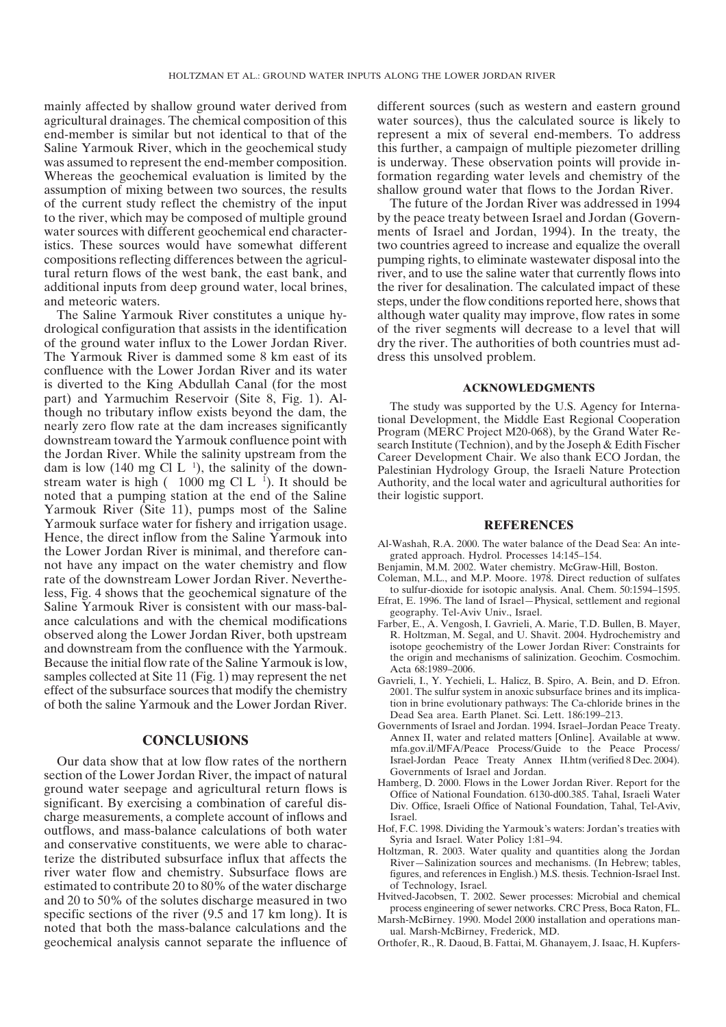mainly affected by shallow ground water derived from agricultural drainages. The chemical composition of this end-member is similar but not identical to that of the Saline Yarmouk River, which in the geochemical study was assumed to represent the end-member composition. Whereas the geochemical evaluation is limited by the assumption of mixing between two sources, the results of the current study reflect the chemistry of the input to the river, which may be composed of multiple ground water sources with different geochemical end characteristics. These sources would have somewhat different compositions reflecting differences between the agricultural return flows of the west bank, the east bank, and additional inputs from deep ground water, local brines, and meteoric waters.

dam is low (140 mg Cl L<sup>1</sup>), the salinity of the downstream water is high  $(1000 \text{ mg Cl L}^{-1})$ . It should be The Saline Yarmouk River constitutes a unique hydrological configuration that assists in the identification of the ground water influx to the Lower Jordan River. The Yarmouk River is dammed some 8 km east of its confluence with the Lower Jordan River and its water is diverted to the King Abdullah Canal (for the most part) and Yarmuchim Reservoir (Site 8, Fig. 1). Although no tributary inflow exists beyond the dam, the nearly zero flow rate at the dam increases significantly downstream toward the Yarmouk confluence point with the Jordan River. While the salinity upstream from the noted that a pumping station at the end of the Saline Yarmouk River (Site 11), pumps most of the Saline Yarmouk surface water for fishery and irrigation usage. Hence, the direct inflow from the Saline Yarmouk into the Lower Jordan River is minimal, and therefore cannot have any impact on the water chemistry and flow rate of the downstream Lower Jordan River. Nevertheless, Fig. 4 shows that the geochemical signature of the Saline Yarmouk River is consistent with our mass-balance calculations and with the chemical modifications observed along the Lower Jordan River, both upstream and downstream from the confluence with the Yarmouk. Because the initial flow rate of the Saline Yarmouk islow, samples collected at Site 11 (Fig. 1) may represent the net effect of the subsurface sources that modify the chemistry of both the saline Yarmouk and the Lower Jordan River.

## **CONCLUSIONS**

Our data show that at low flow rates of the northern section of the Lower Jordan River, the impact of natural ground water seepage and agricultural return flows is significant. By exercising a combination of careful discharge measurements, a complete account of inflows and outflows, and mass-balance calculations of both water and conservative constituents, we were able to characterize the distributed subsurface influx that affects the river water flow and chemistry. Subsurface flows are estimated to contribute 20 to 80% of the water discharge and 20 to 50% of the solutes discharge measured in two specific sections of the river (9.5 and 17 km long). It is noted that both the mass-balance calculations and the geochemical analysis cannot separate the influence of

different sources (such as western and eastern ground water sources), thus the calculated source is likely to represent a mix of several end-members. To address this further, a campaign of multiple piezometer drilling is underway. These observation points will provide information regarding water levels and chemistry of the shallow ground water that flows to the Jordan River.

The future of the Jordan River was addressed in 1994 by the peace treaty between Israel and Jordan (Governments of Israel and Jordan, 1994). In the treaty, the two countries agreed to increase and equalize the overall pumping rights, to eliminate wastewater disposal into the river, and to use the saline water that currently flows into the river for desalination. The calculated impact of these steps, under the flow conditions reported here, shows that although water quality may improve, flow rates in some of the river segments will decrease to a level that will dry the river. The authorities of both countries must address this unsolved problem.

## **ACKNOWLEDGMENTS**

The study was supported by the U.S. Agency for International Development, the Middle East Regional Cooperation Program (MERC Project M20-068), by the Grand Water Research Institute (Technion), and by the Joseph & Edith Fischer Career Development Chair. We also thank ECO Jordan, the Palestinian Hydrology Group, the Israeli Nature Protection Authority, and the local water and agricultural authorities for their logistic support.

## **REFERENCES**

- Al-Washah, R.A. 2000. The water balance of the Dead Sea: An integrated approach. Hydrol. Processes 14:145–154.
- Benjamin, M.M. 2002. Water chemistry. McGraw-Hill, Boston.
- Coleman, M.L., and M.P. Moore. 1978. Direct reduction of sulfates to sulfur-dioxide for isotopic analysis. Anal. Chem. 50:1594–1595.
- Efrat, E. 1996. The land of Israel—Physical, settlement and regional geography. Tel-Aviv Univ., Israel.
- Farber, E., A. Vengosh, I. Gavrieli, A. Marie, T.D. Bullen, B. Mayer, R. Holtzman, M. Segal, and U. Shavit. 2004. Hydrochemistry and isotope geochemistry of the Lower Jordan River: Constraints for the origin and mechanisms of salinization. Geochim. Cosmochim. Acta 68:1989–2006.
- Gavrieli, I., Y. Yechieli, L. Halicz, B. Spiro, A. Bein, and D. Efron. 2001. The sulfur system in anoxic subsurface brines and its implication in brine evolutionary pathways: The Ca-chloride brines in the Dead Sea area. Earth Planet. Sci. Lett. 186:199–213.
- mfa.gov.il/MFA/Peace Process/Guide to the Peace Process/ Israel-Jordan Peace Treaty Annex II.htm (verified 8 Dec. 2004). Governments of Israel and Jordan. 1994. Israel–Jordan Peace Treaty. Annex II, water and related matters [Online]. Available at www. Governments of Israel and Jordan.
- Hamberg, D. 2000. Flows in the Lower Jordan River. Report for the Office of National Foundation. 6130-d00.385. Tahal, Israeli Water Div. Office, Israeli Office of National Foundation, Tahal, Tel-Aviv, Israel.
- Hof, F.C. 1998. Dividing the Yarmouk's waters: Jordan's treaties with Syria and Israel. Water Policy 1:81–94.
- Holtzman, R. 2003. Water quality and quantities along the Jordan River—Salinization sources and mechanisms. (In Hebrew; tables, figures, and references in English.) M.S. thesis. Technion-Israel Inst. of Technology, Israel.
- Hvitved-Jacobsen, T. 2002. Sewer processes: Microbial and chemical process engineering of sewer networks. CRC Press, Boca Raton, FL.
- Marsh-McBirney. 1990. Model 2000 installation and operations manual. Marsh-McBirney, Frederick, MD.
- Orthofer, R., R. Daoud, B. Fattai, M. Ghanayem, J. Isaac, H. Kupfers-